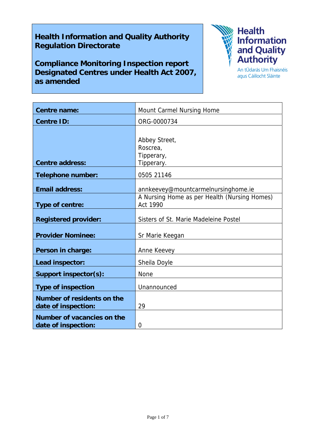# **Health Information and Quality Authority Regulation Directorate**

**Compliance Monitoring Inspection report Designated Centres under Health Act 2007, as amended** 



agus Cáilíocht Sláinte

| <b>Centre name:</b>                                      | Mount Carmel Nursing Home                                       |
|----------------------------------------------------------|-----------------------------------------------------------------|
| <b>Centre ID:</b>                                        | ORG-0000734                                                     |
| <b>Centre address:</b>                                   | Abbey Street,<br>Roscrea,<br>Tipperary,<br>Tipperary.           |
| <b>Telephone number:</b>                                 | 0505 21146                                                      |
| <b>Email address:</b>                                    | annkeevey@mountcarmelnursinghome.ie                             |
| Type of centre:                                          | A Nursing Home as per Health (Nursing Homes)<br><b>Act 1990</b> |
| <b>Registered provider:</b>                              | Sisters of St. Marie Madeleine Postel                           |
| <b>Provider Nominee:</b>                                 | Sr Marie Keegan                                                 |
| Person in charge:                                        | Anne Keevey                                                     |
| Lead inspector:                                          | Sheila Doyle                                                    |
| Support inspector(s):                                    | <b>None</b>                                                     |
| <b>Type of inspection</b>                                | Unannounced                                                     |
| <b>Number of residents on the</b><br>date of inspection: | 29                                                              |
| Number of vacancies on the<br>date of inspection:        | 0                                                               |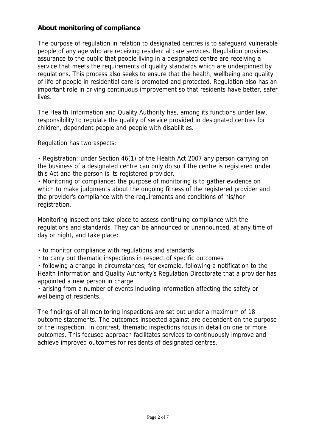# **About monitoring of compliance**

The purpose of regulation in relation to designated centres is to safeguard vulnerable people of any age who are receiving residential care services. Regulation provides assurance to the public that people living in a designated centre are receiving a service that meets the requirements of quality standards which are underpinned by regulations. This process also seeks to ensure that the health, wellbeing and quality of life of people in residential care is promoted and protected. Regulation also has an important role in driving continuous improvement so that residents have better, safer lives.

The Health Information and Quality Authority has, among its functions under law, responsibility to regulate the quality of service provided in designated centres for children, dependent people and people with disabilities.

Regulation has two aspects:

・ Registration: under Section 46(1) of the Health Act 2007 any person carrying on the business of a designated centre can only do so if the centre is registered under this Act and the person is its registered provider.

・ Monitoring of compliance: the purpose of monitoring is to gather evidence on which to make judgments about the ongoing fitness of the registered provider and the provider's compliance with the requirements and conditions of his/her registration.

Monitoring inspections take place to assess continuing compliance with the regulations and standards. They can be announced or unannounced, at any time of day or night, and take place:

- ・ to monitor compliance with regulations and standards
- ・ to carry out thematic inspections in respect of specific outcomes

・ following a change in circumstances; for example, following a notification to the Health Information and Quality Authority's Regulation Directorate that a provider has appointed a new person in charge

・ arising from a number of events including information affecting the safety or wellbeing of residents.

The findings of all monitoring inspections are set out under a maximum of 18 outcome statements. The outcomes inspected against are dependent on the purpose of the inspection. In contrast, thematic inspections focus in detail on one or more outcomes. This focused approach facilitates services to continuously improve and achieve improved outcomes for residents of designated centres.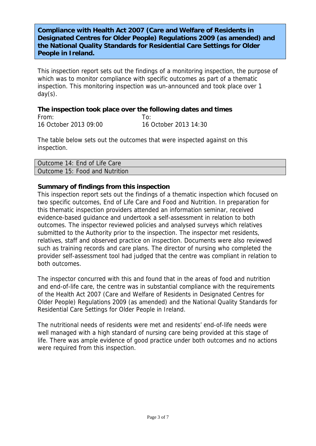## **Compliance with Health Act 2007 (Care and Welfare of Residents in Designated Centres for Older People) Regulations 2009 (as amended) and the National Quality Standards for Residential Care Settings for Older People in Ireland.**

This inspection report sets out the findings of a monitoring inspection, the purpose of which was to monitor compliance with specific outcomes as part of a thematic inspection. This monitoring inspection was un-announced and took place over 1 day(s).

#### **The inspection took place over the following dates and times**  From: To: 16 October 2013 09:00 16 October 2013 14:30

The table below sets out the outcomes that were inspected against on this inspection.

| Outcome 14: End of Life Care   |  |
|--------------------------------|--|
| Outcome 15: Food and Nutrition |  |
|                                |  |

# **Summary of findings from this inspection**

This inspection report sets out the findings of a thematic inspection which focused on two specific outcomes, End of Life Care and Food and Nutrition. In preparation for this thematic inspection providers attended an information seminar, received evidence-based guidance and undertook a self-assessment in relation to both outcomes. The inspector reviewed policies and analysed surveys which relatives submitted to the Authority prior to the inspection. The inspector met residents, relatives, staff and observed practice on inspection. Documents were also reviewed such as training records and care plans. The director of nursing who completed the provider self-assessment tool had judged that the centre was compliant in relation to both outcomes.

The inspector concurred with this and found that in the areas of food and nutrition and end-of-life care, the centre was in substantial compliance with the requirements of the Health Act 2007 (Care and Welfare of Residents in Designated Centres for Older People) Regulations 2009 (as amended) and the National Quality Standards for Residential Care Settings for Older People in Ireland.

The nutritional needs of residents were met and residents' end-of-life needs were well managed with a high standard of nursing care being provided at this stage of life. There was ample evidence of good practice under both outcomes and no actions were required from this inspection.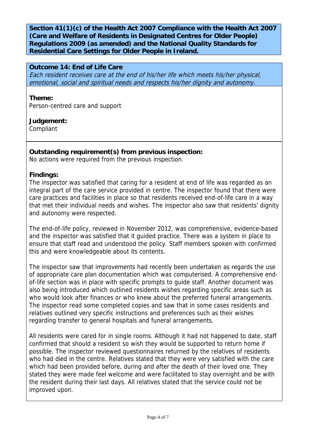**Section 41(1)(c) of the Health Act 2007 Compliance with the Health Act 2007 (Care and Welfare of Residents in Designated Centres for Older People) Regulations 2009 (as amended) and the National Quality Standards for Residential Care Settings for Older People in Ireland.** 

## **Outcome 14: End of Life Care**

Each resident receives care at the end of his/her life which meets his/her physical, emotional, social and spiritual needs and respects his/her dignity and autonomy.

#### **Theme:**

Person-centred care and support

# **Judgement:**

Compliant

#### **Outstanding requirement(s) from previous inspection:**

No actions were required from the previous inspection.

#### **Findings:**

The inspector was satisfied that caring for a resident at end of life was regarded as an integral part of the care service provided in centre. The inspector found that there were care practices and facilities in place so that residents received end-of-life care in a way that met their individual needs and wishes. The inspector also saw that residents' dignity and autonomy were respected.

The end-of-life policy, reviewed in November 2012, was comprehensive, evidence-based and the inspector was satisfied that it guided practice. There was a system in place to ensure that staff read and understood the policy. Staff members spoken with confirmed this and were knowledgeable about its contents.

The inspector saw that improvements had recently been undertaken as regards the use of appropriate care plan documentation which was computerised. A comprehensive endof-life section was in place with specific prompts to guide staff. Another document was also being introduced which outlined residents wishes regarding specific areas such as who would look after finances or who knew about the preferred funeral arrangements. The inspector read some completed copies and saw that in some cases residents and relatives outlined very specific instructions and preferences such as their wishes regarding transfer to general hospitals and funeral arrangements.

All residents were cared for in single rooms. Although it had not happened to date, staff confirmed that should a resident so wish they would be supported to return home if possible. The inspector reviewed questionnaires returned by the relatives of residents who had died in the centre. Relatives stated that they were very satisfied with the care which had been provided before, during and after the death of their loved one. They stated they were made feel welcome and were facilitated to stay overnight and be with the resident during their last days. All relatives stated that the service could not be improved upon.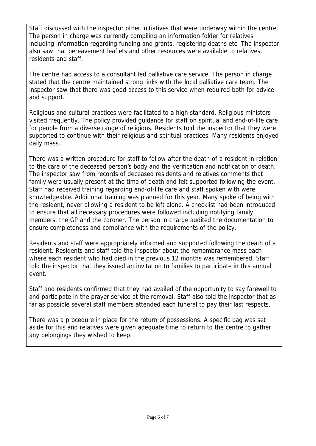Staff discussed with the inspector other initiatives that were underway within the centre. The person in charge was currently compiling an information folder for relatives including information regarding funding and grants, registering deaths etc. The inspector also saw that bereavement leaflets and other resources were available to relatives, residents and staff.

The centre had access to a consultant led palliative care service. The person in charge stated that the centre maintained strong links with the local palliative care team. The inspector saw that there was good access to this service when required both for advice and support.

Religious and cultural practices were facilitated to a high standard. Religious ministers visited frequently. The policy provided guidance for staff on spiritual and end-of-life care for people from a diverse range of religions. Residents told the inspector that they were supported to continue with their religious and spiritual practices. Many residents enjoyed daily mass.

There was a written procedure for staff to follow after the death of a resident in relation to the care of the deceased person's body and the verification and notification of death. The inspector saw from records of deceased residents and relatives comments that family were usually present at the time of death and felt supported following the event. Staff had received training regarding end-of-life care and staff spoken with were knowledgeable. Additional training was planned for this year. Many spoke of being with the resident, never allowing a resident to be left alone. A checklist had been introduced to ensure that all necessary procedures were followed including notifying family members, the GP and the coroner. The person in charge audited the documentation to ensure completeness and compliance with the requirements of the policy.

Residents and staff were appropriately informed and supported following the death of a resident. Residents and staff told the inspector about the remembrance mass each where each resident who had died in the previous 12 months was remembered. Staff told the inspector that they issued an invitation to families to participate in this annual event.

Staff and residents confirmed that they had availed of the opportunity to say farewell to and participate in the prayer service at the removal. Staff also told the inspector that as far as possible several staff members attended each funeral to pay their last respects.

There was a procedure in place for the return of possessions. A specific bag was set aside for this and relatives were given adequate time to return to the centre to gather any belongings they wished to keep.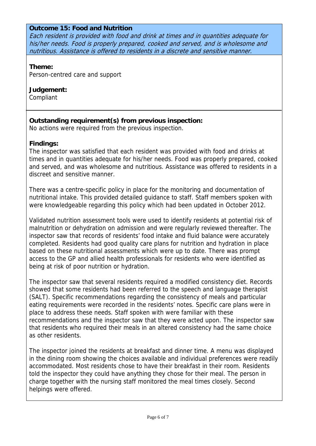#### **Outcome 15: Food and Nutrition**

Each resident is provided with food and drink at times and in quantities adequate for his/her needs. Food is properly prepared, cooked and served, and is wholesome and nutritious. Assistance is offered to residents in a discrete and sensitive manner.

#### **Theme:**

Person-centred care and support

#### **Judgement:**

Compliant

# **Outstanding requirement(s) from previous inspection:**

No actions were required from the previous inspection.

# **Findings:**

The inspector was satisfied that each resident was provided with food and drinks at times and in quantities adequate for his/her needs. Food was properly prepared, cooked and served, and was wholesome and nutritious. Assistance was offered to residents in a discreet and sensitive manner.

There was a centre-specific policy in place for the monitoring and documentation of nutritional intake. This provided detailed guidance to staff. Staff members spoken with were knowledgeable regarding this policy which had been updated in October 2012.

Validated nutrition assessment tools were used to identify residents at potential risk of malnutrition or dehydration on admission and were regularly reviewed thereafter. The inspector saw that records of residents' food intake and fluid balance were accurately completed. Residents had good quality care plans for nutrition and hydration in place based on these nutritional assessments which were up to date. There was prompt access to the GP and allied health professionals for residents who were identified as being at risk of poor nutrition or hydration.

The inspector saw that several residents required a modified consistency diet. Records showed that some residents had been referred to the speech and language therapist (SALT). Specific recommendations regarding the consistency of meals and particular eating requirements were recorded in the residents' notes. Specific care plans were in place to address these needs. Staff spoken with were familiar with these recommendations and the inspector saw that they were acted upon. The inspector saw that residents who required their meals in an altered consistency had the same choice as other residents.

The inspector joined the residents at breakfast and dinner time. A menu was displayed in the dining room showing the choices available and individual preferences were readily accommodated. Most residents chose to have their breakfast in their room. Residents told the inspector they could have anything they chose for their meal. The person in charge together with the nursing staff monitored the meal times closely. Second helpings were offered.